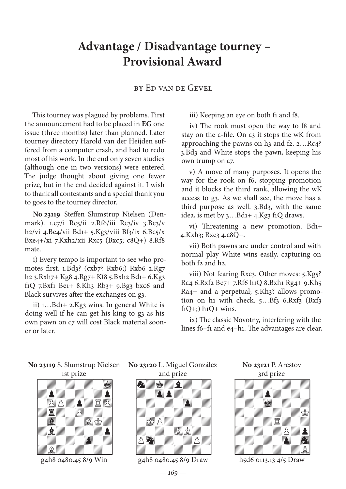## **Advantage / Disadvantage tourney – Provisional Award**

## by Ed van de Gevel

This tourney was plagued by problems. First the announcement had to be placed in **EG** one issue (three months) later than planned. Later tourney directory Harold van der Heijden suffered from a computer crash, and had to redo most of his work. In the end only seven studies (although one in two versions) were entered. The judge thought about giving one fewer prize, but in the end decided against it. I wish to thank all contestants and a special thank you to goes to the tourney director.

**No 23119** Steffen Slumstrup Nielsen (Denmark). 1.c7/i Rc5/ii 2.Rf6/iii Rc3/iv 3.Be3/v h2/vi 4.Be4/vii Bd1+ 5.Kg3/viii Bf3/ix 6.Bc5/x Bxe4+/xi 7.Kxh2/xii Rxc5 (Bxc5; c8Q+) 8.Rf8 mate.

i) Every tempo is important to see who promotes first. 1.Bd3? (cxb7? Rxb6;) Rxb6 2.Rg7 h2 3.Rxh7+ Kg8 4.Rg7+ Kf8 5.Bxh2 Bd1+ 6.Kg3 f1Q 7.Bxf1 Be1+ 8.Kh3 Rb3+ 9.Bg3 bxc6 and Black survives after the exchanges on g3.

ii) 1…Bd1+ 2.Kg3 wins. In general White is doing well if he can get his king to g3 as his own pawn on c7 will cost Black material sooner or later.

iii) Keeping an eye on both f1 and f8.

iv) The rook must open the way to f8 and stay on the c-file. On c3 it stops the wK from approaching the pawns on  $h_3$  and f2. 2...Rc4? 3.Bd3 and White stops the pawn, keeping his own trump on c7.

v) A move of many purposes. It opens the way for the rook on f6, stopping promotion and it blocks the third rank, allowing the wK access to g3. As we shall see, the move has a third purpose as well. 3.Bd3, with the same idea, is met by 3…Bd1+ 4.Kg3 f1Q draws.

vi) Threatening a new promotion. Bd1+ 4.Kxh3; Rxe3 4.c8Q+.

vii) Both pawns are under control and with normal play White wins easily, capturing on both f2 and h2.

viii) Not fearing Rxe3. Other moves: 5.Kg5? Rc4 6.Rxf2 Be7+ 7.Rf6 h1Q 8.Bxh1 Rg4+ 9.Kh5 Ra4+ and a perpetual; 5.Kh3? allows promotion on h1 with check. 5...Bf3 6.Rxf3 (Bxf3)  $f<sub>1</sub>O<sub>+</sub>;$ ) h<sub>1</sub> $O+$  wins.

ix) The classic Novotny, interfering with the lines f6–f1 and e4–h1. The advantages are clear,

**No 23119** S. Slumstrup Nielsen **No 23120** L. Miguel González 1st prize



g4h8 0480.45 8/9 Win

2nd prize



g4h8 0480.45 8/9 Draw





h5d6 0113.13 4/5 Draw